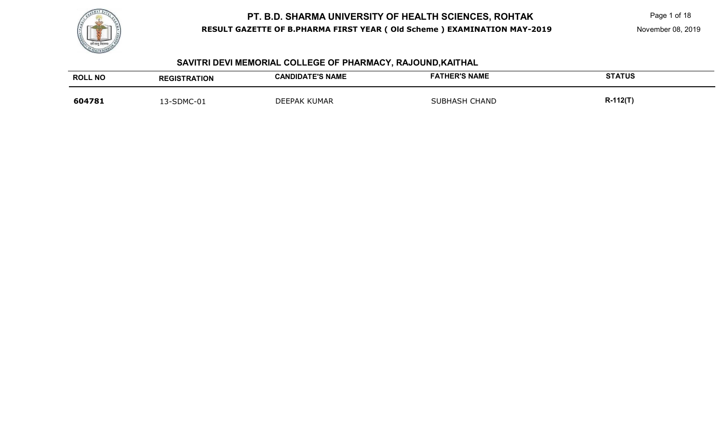

#### **SAVITRI DEVI MEMORIAL COLLEGE OF PHARMACY, RAJOUND,KAITHAL**

| <b>ROLL NO</b> | <b>REGISTRATION</b> | <b>CANDIDATE'S NAME</b> | <b>FATHER'S NAME</b> | <b>STATUS</b>   |
|----------------|---------------------|-------------------------|----------------------|-----------------|
| 604781         | 13-SDMC-01          | <b>DEEPAK KUMAR</b>     | <b>SUBHASH CHAND</b> | <b>R-112(T)</b> |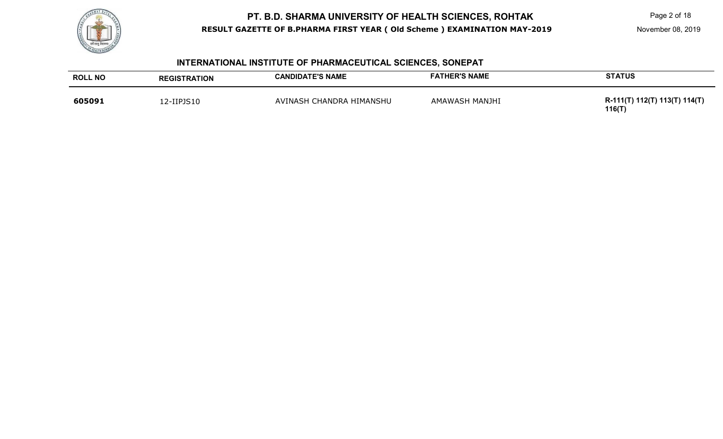

Page 2 of 18

#### **INTERNATIONAL INSTITUTE OF PHARMACEUTICAL SCIENCES, SONEPAT**

| <b>ROLL NO</b> | <b>REGISTRATION</b> | <b>CANDIDATE'S NAME</b>  | <b>FATHER'S NAME</b> | <b>STATUS</b>                           |
|----------------|---------------------|--------------------------|----------------------|-----------------------------------------|
| 605091         | 12-IIPJS10          | AVINASH CHANDRA HIMANSHU | AMAWASH MANJHI       | R-111(T) 112(T) 113(T) 114(T)<br>116(T) |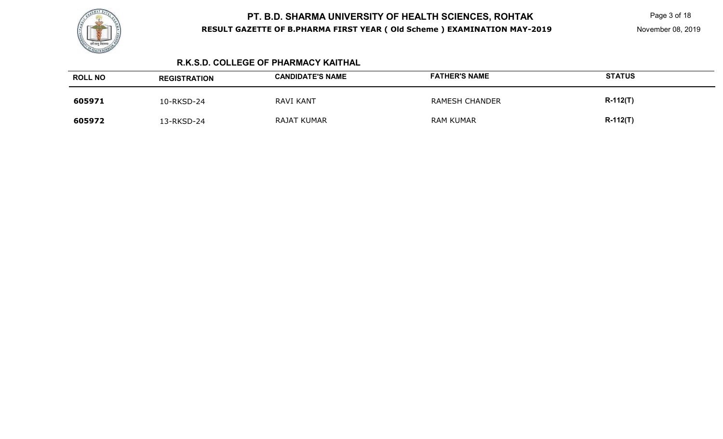

Page 3 of 18

#### **R.K.S.D. COLLEGE OF PHARMACY KAITHAL**

| <b>ROLL NO</b> | <b>REGISTRATION</b> | <b>CANDIDATE'S NAME</b> | <b>FATHER'S NAME</b>  | <b>STATUS</b> |
|----------------|---------------------|-------------------------|-----------------------|---------------|
| 605971         | 10-RKSD-24          | <b>RAVI KANT</b>        | <b>RAMESH CHANDER</b> | $R-112(T)$    |
| 605972         | 13-RKSD-24          | RAJAT KUMAR             | <b>RAM KUMAR</b>      | $R-112(T)$    |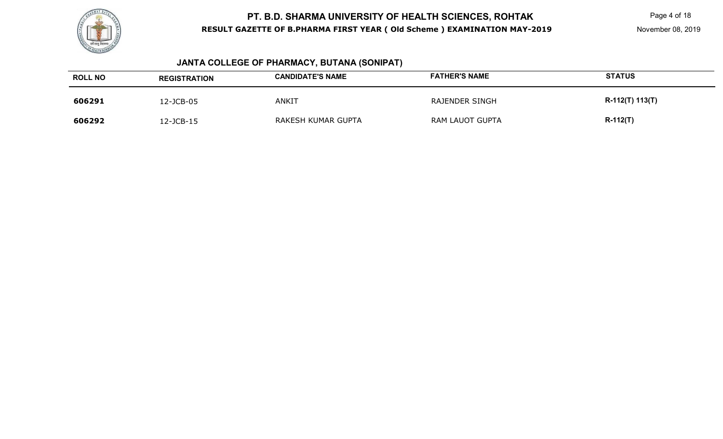

# **JANTA COLLEGE OF PHARMACY, BUTANA (SONIPAT)**

| <b>ROLL NO</b> | <b>REGISTRATION</b> | <b>CANDIDATE'S NAME</b> | <b>FATHER'S NAME</b> | <b>STATUS</b>   |
|----------------|---------------------|-------------------------|----------------------|-----------------|
| 606291         | 2-JCB-05            | ANKIT                   | RAJENDER SINGH       | R-112(T) 113(T) |
| 606292         | 2-JCB-15            | RAKESH KUMAR GUPTA      | RAM LAUOT GUPTA      | $R-112(T)$      |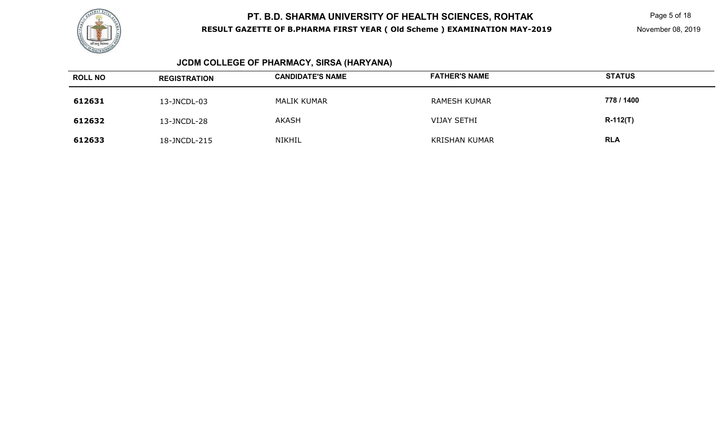

Page 5 of 18

# **JCDM COLLEGE OF PHARMACY, SIRSA (HARYANA)**

| <b>ROLL NO</b> | <b>REGISTRATION</b> | <b>CANDIDATE'S NAME</b> | <b>FATHER'S NAME</b> | <b>STATUS</b> |
|----------------|---------------------|-------------------------|----------------------|---------------|
| 612631         | 13-JNCDL-03         | MALIK KUMAR             | <b>RAMESH KUMAR</b>  | 778 / 1400    |
| 612632         | 13-JNCDL-28         | <b>AKASH</b>            | <b>VIJAY SETHI</b>   | $R-112(T)$    |
| 612633         | 18-JNCDL-215        | NIKHIL                  | <b>KRISHAN KUMAR</b> | <b>RLA</b>    |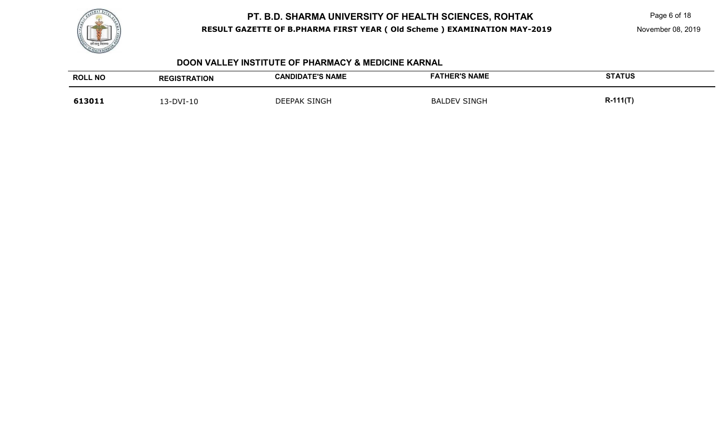

Page 6 of 18

#### **DOON VALLEY INSTITUTE OF PHARMACY & MEDICINE KARNAL**

| <b>ROLL NO</b> | <b>REGISTRATION</b> | <b>CANDIDATE'S NAME</b> | <b>FATHER'S NAME</b> | <b>STATUS</b> |
|----------------|---------------------|-------------------------|----------------------|---------------|
| 613011         | 13-DVI-10           | <b>DEEPAK SINGH</b>     | <b>BALDEV SINGH</b>  | $R-111(T)$    |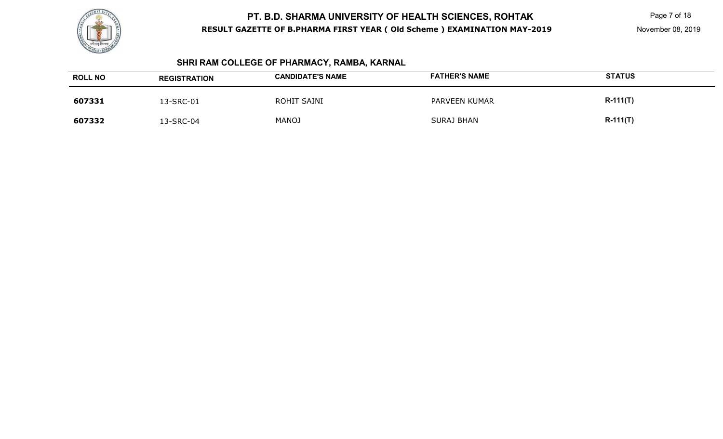

Page 7 of 18

# **SHRI RAM COLLEGE OF PHARMACY, RAMBA, KARNAL**

| <b>ROLL NO</b> | <b>REGISTRATION</b> | <b>CANDIDATE'S NAME</b> | <b>FATHER'S NAME</b> | <b>STATUS</b> |
|----------------|---------------------|-------------------------|----------------------|---------------|
| 607331         | 13-SRC-01           | ROHIT SAINI             | PARVEEN KUMAR        | $R-111(T)$    |
| 607332         | 13-SRC-04           | <b>MANOJ</b>            | <b>SURAJ BHAN</b>    | $R-111(T)$    |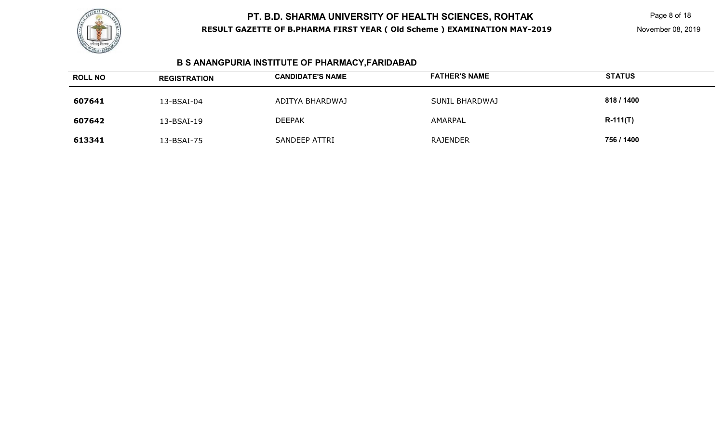

Page 8 of 18

# **B S ANANGPURIA INSTITUTE OF PHARMACY,FARIDABAD**

| <b>ROLL NO</b> | <b>REGISTRATION</b> | <b>CANDIDATE'S NAME</b> | <b>FATHER'S NAME</b> | <b>STATUS</b> |
|----------------|---------------------|-------------------------|----------------------|---------------|
| 607641         | 13-BSAI-04          | ADITYA BHARDWAJ         | SUNIL BHARDWAJ       | 818 / 1400    |
| 607642         | 13-BSAI-19          | <b>DEEPAK</b>           | AMARPAL              | $R-111(T)$    |
| 613341         | 13-BSAI-75          | <b>SANDEEP ATTRI</b>    | <b>RAJENDER</b>      | 756 / 1400    |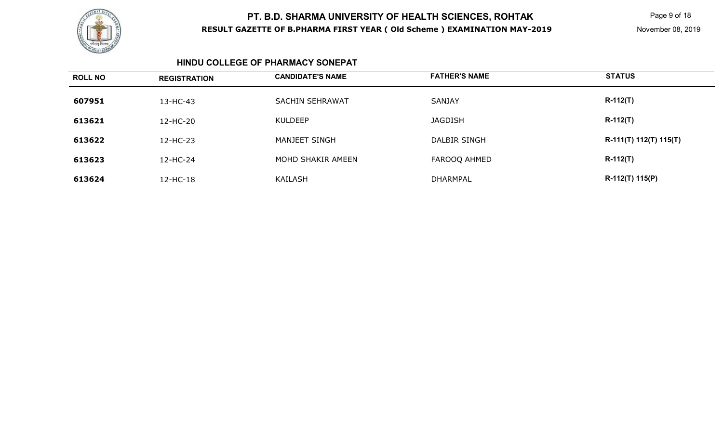

Page 9 of 18

#### **HINDU COLLEGE OF PHARMACY SONEPAT**

| <b>ROLL NO</b> | <b>REGISTRATION</b> | <b>CANDIDATE'S NAME</b> | <b>FATHER'S NAME</b> | <b>STATUS</b>          |
|----------------|---------------------|-------------------------|----------------------|------------------------|
| 607951         | 13-HC-43            | <b>SACHIN SEHRAWAT</b>  | <b>SANJAY</b>        | $R-112(T)$             |
| 613621         | 12-HC-20            | <b>KULDEEP</b>          | <b>JAGDISH</b>       | $R-112(T)$             |
| 613622         | 12-HC-23            | MANJEET SINGH           | DALBIR SINGH         | R-111(T) 112(T) 115(T) |
| 613623         | 12-HC-24            | MOHD SHAKIR AMEEN       | FAROOQ AHMED         | $R-112(T)$             |
| 613624         | 12-HC-18            | KAILASH                 | <b>DHARMPAL</b>      | R-112(T) 115(P)        |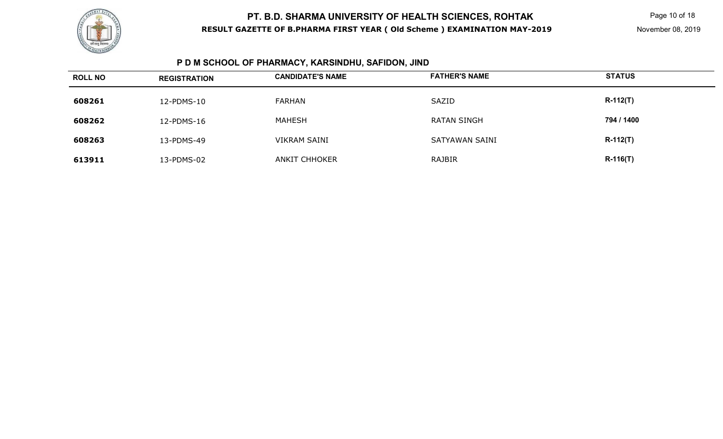

# **P D M SCHOOL OF PHARMACY, KARSINDHU, SAFIDON, JIND**

| <b>ROLL NO</b> | <b>REGISTRATION</b> | <b>CANDIDATE'S NAME</b> | <b>FATHER'S NAME</b> | <b>STATUS</b> |
|----------------|---------------------|-------------------------|----------------------|---------------|
| 608261         | 12-PDMS-10          | FARHAN                  | SAZID                | $R-112(T)$    |
| 608262         | 12-PDMS-16          | MAHESH                  | <b>RATAN SINGH</b>   | 794 / 1400    |
| 608263         | 13-PDMS-49          | <b>VIKRAM SAINI</b>     | SATYAWAN SAINI       | $R-112(T)$    |
| 613911         | 13-PDMS-02          | <b>ANKIT CHHOKER</b>    | RAJBIR               | $R-116(T)$    |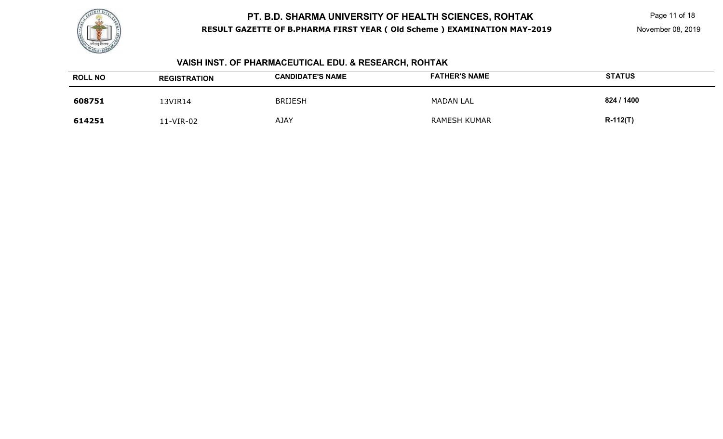

Page 11 of 18

# **VAISH INST. OF PHARMACEUTICAL EDU. & RESEARCH, ROHTAK**

| <b>ROLL NO</b> | <b>REGISTRATION</b> | <b>CANDIDATE'S NAME</b> | <b>FATHER'S NAME</b> | <b>STATUS</b> |
|----------------|---------------------|-------------------------|----------------------|---------------|
| 608751         | I3VIR14             | <b>BRIJESH</b>          | <b>MADAN LAL</b>     | 824 / 1400    |
| 614251         | 11-VIR-02           | <b>AJAY</b>             | RAMESH KUMAR         | $R-112(T)$    |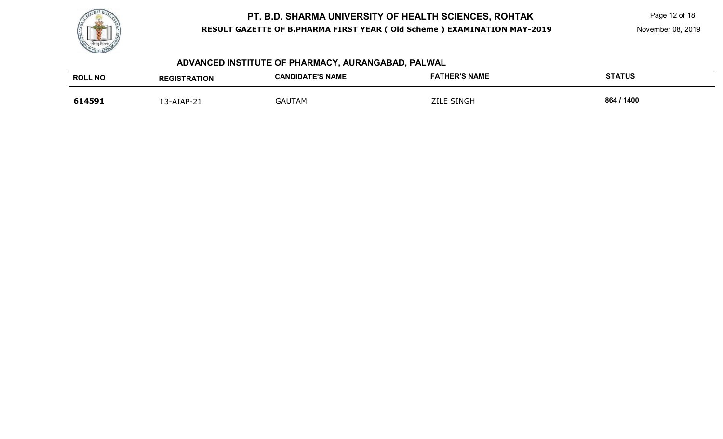

Page 12 of 18

# **ADVANCED INSTITUTE OF PHARMACY, AURANGABAD, PALWAL**

| <b>ROLL NO</b> | <b>REGISTRATION</b> | <b>CANDIDATE'S NAME</b> | <b>FATHER'S NAME</b> | <b>STATUS</b> |
|----------------|---------------------|-------------------------|----------------------|---------------|
| 614591         | 13-AIAP-21          | <b>GAUTAM</b>           | <b>ZILE SINGH</b>    | 864 / 1400    |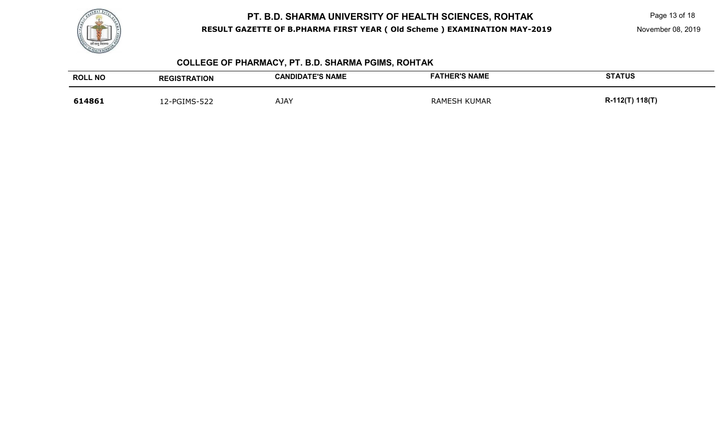

Page 13 of 18

November 08, 2019

# **COLLEGE OF PHARMACY, PT. B.D. SHARMA PGIMS, ROHTAK**

| <b>ROLL NO</b> | <b>REGISTRATION</b> | <b>CANDIDATE'S NAME</b> | <b>FATHER'S NAME</b> | <b>STATUS</b>   |
|----------------|---------------------|-------------------------|----------------------|-----------------|
| 614861         | 12-PGIMS-522        | AJAY                    | <b>RAMESH KUMAR</b>  | R-112(T) 118(T) |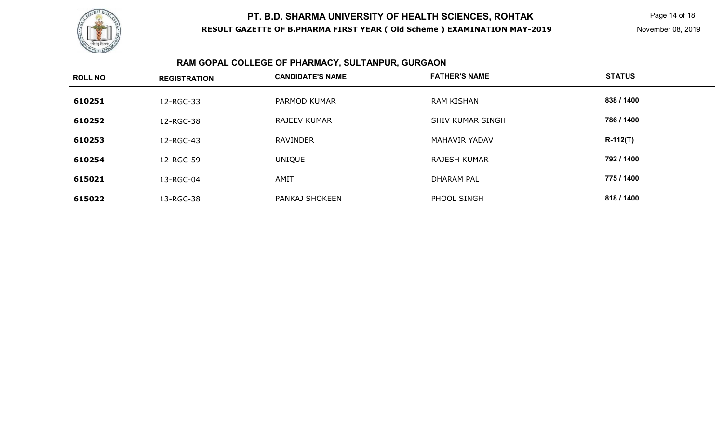

# **RAM GOPAL COLLEGE OF PHARMACY, SULTANPUR, GURGAON**

| <b>ROLL NO</b> | <b>REGISTRATION</b> | <b>CANDIDATE'S NAME</b> | <b>FATHER'S NAME</b>    | <b>STATUS</b> |
|----------------|---------------------|-------------------------|-------------------------|---------------|
| 610251         | 12-RGC-33           | PARMOD KUMAR            | <b>RAM KISHAN</b>       | 838 / 1400    |
| 610252         | 12-RGC-38           | <b>RAJEEV KUMAR</b>     | <b>SHIV KUMAR SINGH</b> | 786 / 1400    |
| 610253         | 12-RGC-43           | <b>RAVINDER</b>         | <b>MAHAVIR YADAV</b>    | $R-112(T)$    |
| 610254         | 12-RGC-59           | UNIQUE                  | <b>RAJESH KUMAR</b>     | 792 / 1400    |
| 615021         | 13-RGC-04           | AMIT                    | <b>DHARAM PAL</b>       | 775 / 1400    |
| 615022         | 13-RGC-38           | PANKAJ SHOKEEN          | PHOOL SINGH             | 818 / 1400    |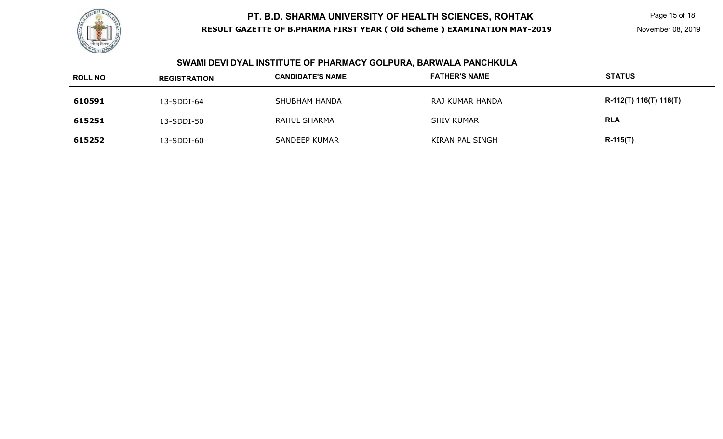

Page 15 of 18

# **SWAMI DEVI DYAL INSTITUTE OF PHARMACY GOLPURA, BARWALA PANCHKULA**

| <b>ROLL NO</b> | <b>REGISTRATION</b> | <b>CANDIDATE'S NAME</b> | <b>FATHER'S NAME</b> | <b>STATUS</b>          |
|----------------|---------------------|-------------------------|----------------------|------------------------|
| 610591         | 13-SDDI-64          | <b>SHUBHAM HANDA</b>    | RAJ KUMAR HANDA      | R-112(T) 116(T) 118(T) |
| 615251         | 13-SDDI-50          | RAHUL SHARMA            | <b>SHIV KUMAR</b>    | <b>RLA</b>             |
| 615252         | 13-SDDI-60          | <b>SANDEEP KUMAR</b>    | KIRAN PAL SINGH      | $R-115(T)$             |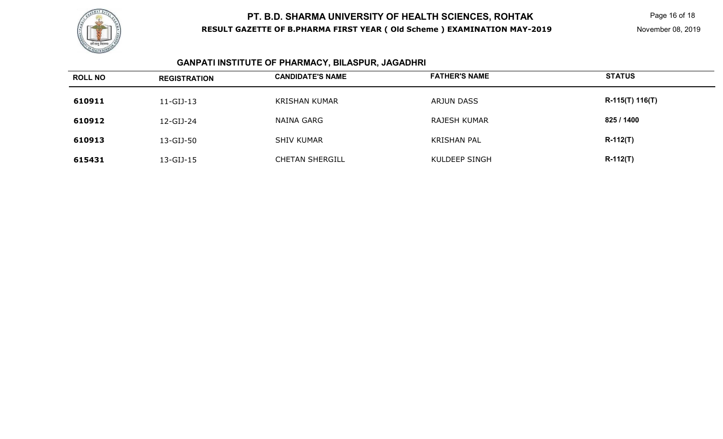

Page 16 of 18

#### **GANPATI INSTITUTE OF PHARMACY, BILASPUR, JAGADHRI**

| <b>ROLL NO</b> | <b>REGISTRATION</b> | <b>CANDIDATE'S NAME</b> | <b>FATHER'S NAME</b> | <b>STATUS</b>     |
|----------------|---------------------|-------------------------|----------------------|-------------------|
| 610911         | $11-GIJ-13$         | <b>KRISHAN KUMAR</b>    | ARJUN DASS           | $R-115(T) 116(T)$ |
| 610912         | 12-GIJ-24           | NAINA GARG              | RAJESH KUMAR         | 825 / 1400        |
| 610913         | 13-GIJ-50           | <b>SHIV KUMAR</b>       | <b>KRISHAN PAL</b>   | $R-112(T)$        |
| 615431         | 13-GIJ-15           | <b>CHETAN SHERGILL</b>  | KULDEEP SINGH        | $R-112(T)$        |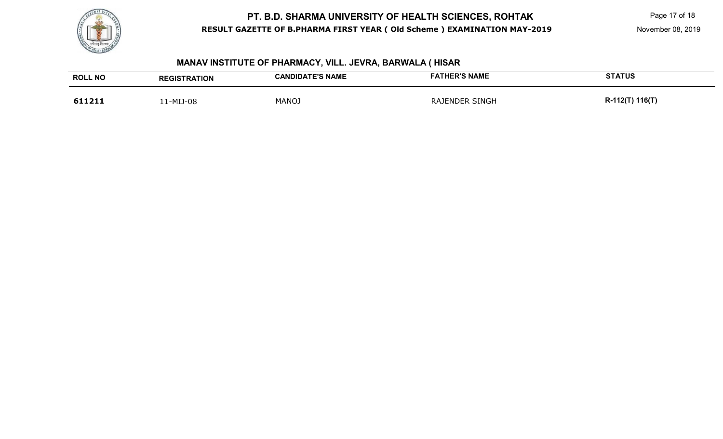

Page 17 of 18

# **MANAV INSTITUTE OF PHARMACY, VILL. JEVRA, BARWALA ( HISAR**

| <b>ROLL NO</b> | <b>REGISTRATION</b> | <b>CANDIDATE'S NAME</b> | <b>FATHER'S NAME</b>  | <b>STATUS</b>   |
|----------------|---------------------|-------------------------|-----------------------|-----------------|
| 611211         | 11-MIJ-08           | <b>MANOJ</b>            | <b>RAJENDER SINGH</b> | R-112(T) 116(T) |